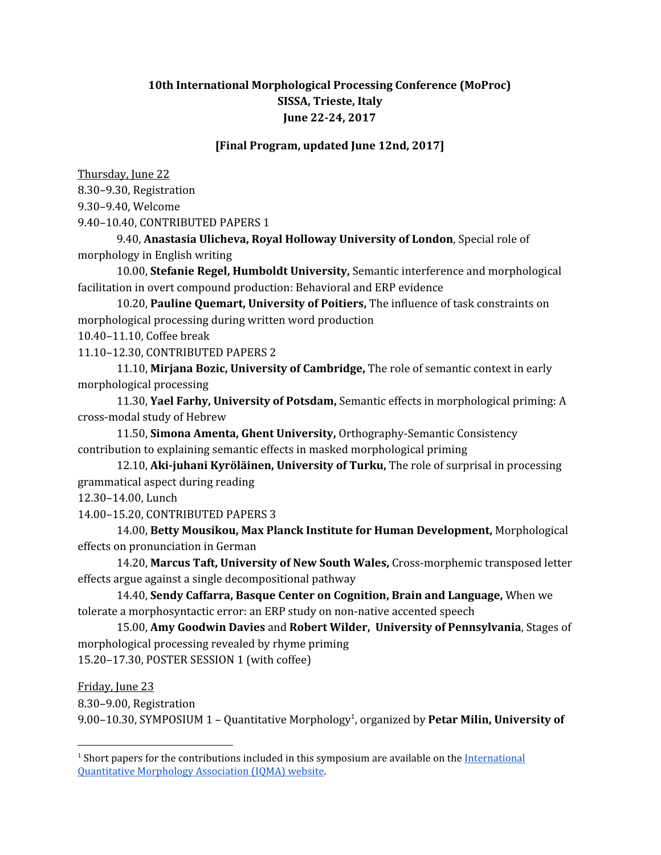## **10th International Morphological Processing Conference (MoProc) SISSA, Trieste, Italy June 22-24, 2017**

## **[Final Program, updated June 12nd, 2017]**

Thursday, June 22 8.30–9.30, Registration 9.30–9.40, Welcome 9.40–10.40, CONTRIBUTED PAPERS 1

9.40, **Anastasia Ulicheva, Royal Holloway University of London**, Special role of morphology in English writing

10.00, **Stefanie Regel, Humboldt University,** Semantic interference and morphological facilitation in overt compound production: Behavioral and ERP evidence

10.20, **Pauline Quemart, University of Poitiers,** The influence of task constraints on morphological processing during written word production

10.40–11.10, Coffee break

11.10–12.30, CONTRIBUTED PAPERS 2

11.10, **Mirjana Bozic, University of Cambridge,** The role of semantic context in early morphological processing

11.30, **Yael Farhy, University of Potsdam,** Semantic effects in morphological priming: A cross-modal study of Hebrew

11.50, **Simona Amenta, Ghent University,** Orthography-Semantic Consistency contribution to explaining semantic effects in masked morphological priming

12.10, **Aki-juhani Kyröläinen, University of Turku,** The role of surprisal in processing grammatical aspect during reading

12.30–14.00, Lunch

14.00–15.20, CONTRIBUTED PAPERS 3

14.00, **Betty Mousikou, Max Planck Institute for Human Development,** Morphological effects on pronunciation in German

14.20, **Marcus Taft, University of New South Wales,** Cross-morphemic transposed letter effects argue against a single decompositional pathway

14.40, **Sendy Caffarra, Basque Center on Cognition, Brain and Language,** When we tolerate a morphosyntactic error: an ERP study on non-native accented speech

15.00, **Amy Goodwin Davies** and **Robert Wilder, University of Pennsylvania**, Stages of morphological processing revealed by rhyme priming 15.20–17.30, POSTER SESSION 1 (with coffee)

Friday, June 23

8.30–9.00, Registration

9.00–10.30, SYMPOSIUM 1 - Quantitative Morphology<sup>1</sup>, organized by Petar Milin, University of

 $<sup>1</sup>$  Short papers for the contributions included in this symposium are available on the [International](http://morphology.xyz/workshops/moproc2017.html)</sup> [Quantitative](http://morphology.xyz/workshops/moproc2017.html) Morphology Association (IQMA) website.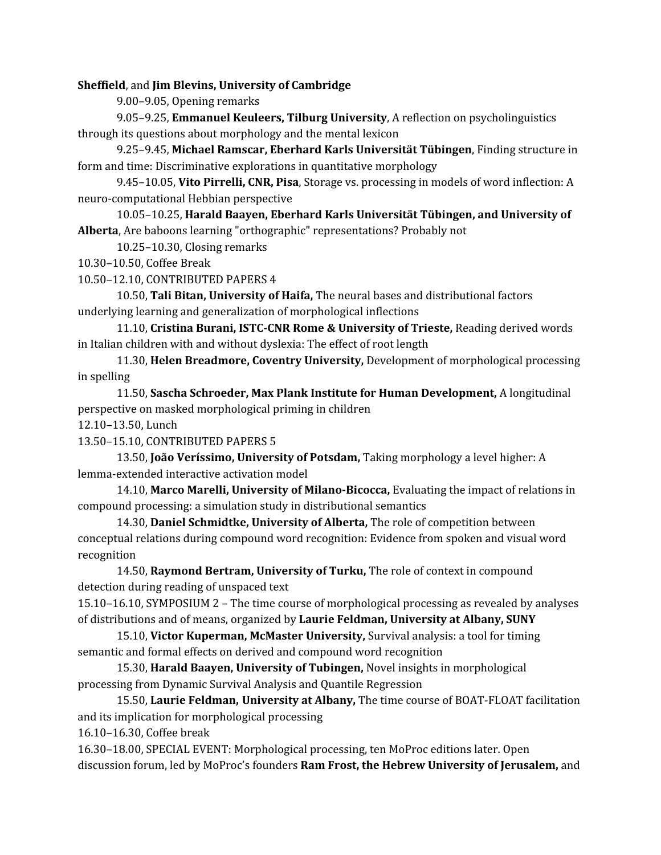**Sheffield**, and **Jim Blevins, University of Cambridge**

9.00–9.05, Opening remarks

9.05–9.25, **Emmanuel Keuleers, Tilburg University**, A reflection on psycholinguistics through its questions about morphology and the mental lexicon

9.25–9.45, **Michael Ramscar, Eberhard Karls Universität Tübingen**, Finding structure in form and time: Discriminative explorations in quantitative morphology

9.45–10.05, **Vito Pirrelli, CNR, Pisa**, Storage vs. processing in models of word inflection: A neuro-computational Hebbian perspective

10.05–10.25, **Harald Baayen, Eberhard Karls Universität Tübingen, and University of Alberta**, Are baboons learning "orthographic" representations? Probably not

10.25–10.30, Closing remarks

10.30–10.50, Coffee Break

10.50–12.10, CONTRIBUTED PAPERS 4

10.50, **Tali Bitan, University of Haifa,** The neural bases and distributional factors underlying learning and generalization of morphological inflections

11.10, **Cristina Burani, ISTC-CNR Rome & University of Trieste,** Reading derived words in Italian children with and without dyslexia: The effect of root length

11.30, **Helen Breadmore, Coventry University,** Development of morphological processing in spelling

11.50, **Sascha Schroeder, Max Plank Institute for Human Development,** A longitudinal perspective on masked morphological priming in children

12.10–13.50, Lunch

13.50–15.10, CONTRIBUTED PAPERS 5

13.50, **João Veríssimo, University of Potsdam,** Taking morphology a level higher: A lemma-extended interactive activation model

14.10, **Marco Marelli, University of Milano-Bicocca,** Evaluating the impact of relations in compound processing: a simulation study in distributional semantics

14.30, **Daniel Schmidtke, University of Alberta,** The role of competition between conceptual relations during compound word recognition: Evidence from spoken and visual word recognition

14.50, **Raymond Bertram, University of Turku,** The role of context in compound detection during reading of unspaced text

15.10–16.10, SYMPOSIUM 2 – The time course of morphological processing as revealed by analyses of distributions and of means, organized by **Laurie Feldman, University at Albany, SUNY**

15.10, **Victor Kuperman, McMaster University,** Survival analysis: a tool for timing semantic and formal effects on derived and compound word recognition

15.30, **Harald Baayen, University of Tubingen,** Novel insights in morphological processing from Dynamic Survival Analysis and Quantile Regression

15.50, **Laurie Feldman, University at Albany,** The time course of BOAT-FLOAT facilitation and its implication for morphological processing

16.10–16.30, Coffee break

16.30–18.00, SPECIAL EVENT: Morphological processing, ten MoProc editions later. Open discussion forum, led by MoProc's founders **Ram Frost, the Hebrew University of Jerusalem,** and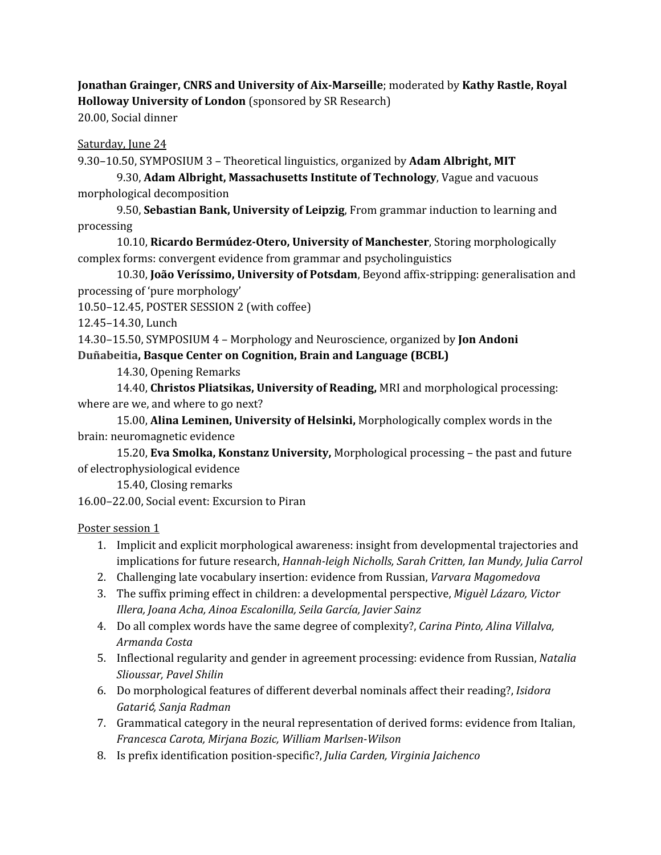**Jonathan Grainger, CNRS and University of Aix-Marseille**; moderated by **Kathy Rastle, Royal Holloway University of London** (sponsored by SR Research) 20.00, Social dinner

## Saturday, June 24

9.30–10.50, SYMPOSIUM 3 – Theoretical linguistics, organized by **Adam Albright, MIT**

9.30, **Adam Albright, Massachusetts Institute of Technology**, Vague and vacuous morphological decomposition

9.50, **Sebastian Bank, University of Leipzig**, From grammar induction to learning and processing

10.10, **Ricardo Bermúdez-Otero, University of Manchester**, Storing morphologically complex forms: convergent evidence from grammar and psycholinguistics

10.30, **João Veríssimo, University of Potsdam**, Beyond affix-stripping: generalisation and processing of 'pure morphology'

10.50–12.45, POSTER SESSION 2 (with coffee)

12.45–14.30, Lunch

14.30–15.50, SYMPOSIUM 4 – Morphology and Neuroscience, organized by **Jon Andoni Duñabeitia, Basque Center on Cognition, Brain and Language (BCBL)**

14.30, Opening Remarks

14.40, **Christos Pliatsikas, University of Reading,** MRI and morphological processing: where are we, and where to go next?

15.00, **Alina Leminen, University of Helsinki,** Morphologically complex words in the brain: neuromagnetic evidence

15.20, **Eva Smolka, Konstanz University,** Morphological processing – the past and future of electrophysiological evidence

15.40, Closing remarks

16.00–22.00, Social event: Excursion to Piran

Poster session 1

- 1. Implicit and explicit morphological awareness: insight from developmental trajectories and implications for future research, *Hannah-leigh Nicholls, Sarah Critten, Ian Mundy, Julia Carrol*
- 2. Challenging late vocabulary insertion: evidence from Russian, *Varvara Magomedova*
- 3. The suffix priming effect in children: a developmental perspective, *Miguèl Lázaro, Victor Illera, Joana Acha, Ainoa Escalonilla, Seila García, Javier Sainz*
- 4. Do all complex words have the same degree of complexity?, *Carina Pinto, Alina Villalva, Armanda Costa*
- 5. Inflectional regularity and gender in agreement processing: evidence from Russian, *Natalia Slioussar, Pavel Shilin*
- 6. Do morphological features of different deverbal nominals affect their reading?, *Isidora Gatari*ć*, Sanja Radman*
- 7. Grammatical category in the neural representation of derived forms: evidence from Italian, *Francesca Carota, Mirjana Bozic, William Marlsen-Wilson*
- 8. Is prefix identification position-specific?, *Julia Carden, Virginia Jaichenco*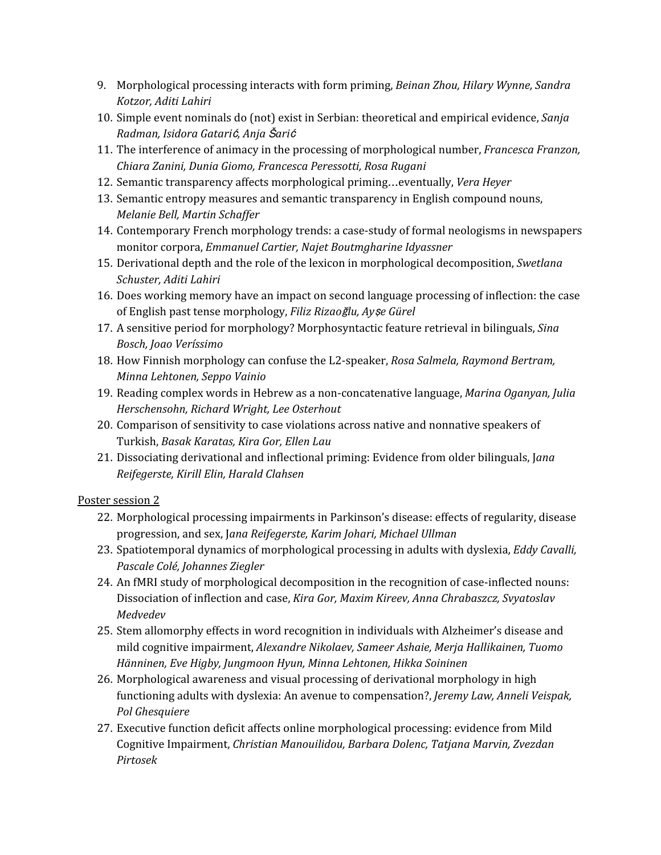- 9. Morphological processing interacts with form priming, *Beinan Zhou, Hilary Wynne, Sandra Kotzor, Aditi Lahiri*
- 10. Simple event nominals do (not) exist in Serbian: theoretical and empirical evidence, *Sanja Radman, Isidora Gatari*ć*, Anja* Š*ari*<sup>ć</sup>
- 11. The interference of animacy in the processing of morphological number, *Francesca Franzon, Chiara Zanini, Dunia Giomo, Francesca Peressotti, Rosa Rugani*
- 12. Semantic transparency affects morphological priming…eventually, *Vera Heyer*
- 13. Semantic entropy measures and semantic transparency in English compound nouns, *Melanie Bell, Martin Schaf er*
- 14. Contemporary French morphology trends: a case-study of formal neologisms in newspapers monitor corpora, *Emmanuel Cartier, Najet Boutmgharine Idyassner*
- 15. Derivational depth and the role of the lexicon in morphological decomposition, *Swetlana Schuster, Aditi Lahiri*
- 16. Does working memory have an impact on second language processing of inflection: the case of English past tense morphology, *Filiz Rizao*ğ*lu, Ay*ş*e Gürel*
- 17. A sensitive period for morphology? Morphosyntactic feature retrieval in bilinguals, *Sina Bosch, Joao Veríssimo*
- 18. How Finnish morphology can confuse the L2-speaker, *Rosa Salmela, Raymond Bertram, Minna Lehtonen, Seppo Vainio*
- 19. Reading complex words in Hebrew as a non-concatenative language, *Marina Oganyan, Julia Herschensohn, Richard Wright, Lee Osterhout*
- 20. Comparison of sensitivity to case violations across native and nonnative speakers of Turkish, *Basak Karatas, Kira Gor, Ellen Lau*
- 21. Dissociating derivational and inflectional priming: Evidence from older bilinguals, J*ana Reifegerste, Kirill Elin, Harald Clahsen*

## Poster session 2

- 22. Morphological processing impairments in Parkinson's disease: effects of regularity, disease progression, and sex, J*ana Reifegerste, Karim Johari, Michael Ullman*
- 23. Spatiotemporal dynamics of morphological processing in adults with dyslexia, *Eddy Cavalli, Pascale Colé, Johannes Ziegler*
- 24. An fMRI study of morphological decomposition in the recognition of case-inflected nouns: Dissociation of inflection and case, *Kira Gor, Maxim Kireev, Anna Chrabaszcz, Svyatoslav Medvedev*
- 25. Stem allomorphy effects in word recognition in individuals with Alzheimer's disease and mild cognitive impairment, *Alexandre Nikolaev, Sameer Ashaie, Merja Hallikainen, Tuomo Hänninen, Eve Higby, Jungmoon Hyun, Minna Lehtonen, Hikka Soininen*
- 26. Morphological awareness and visual processing of derivational morphology in high functioning adults with dyslexia: An avenue to compensation?, *Jeremy Law, Anneli Veispak, Pol Ghesquiere*
- 27. Executive function deficit affects online morphological processing: evidence from Mild Cognitive Impairment, *Christian Manouilidou, Barbara Dolenc, Tatjana Marvin, Zvezdan Pirtosek*